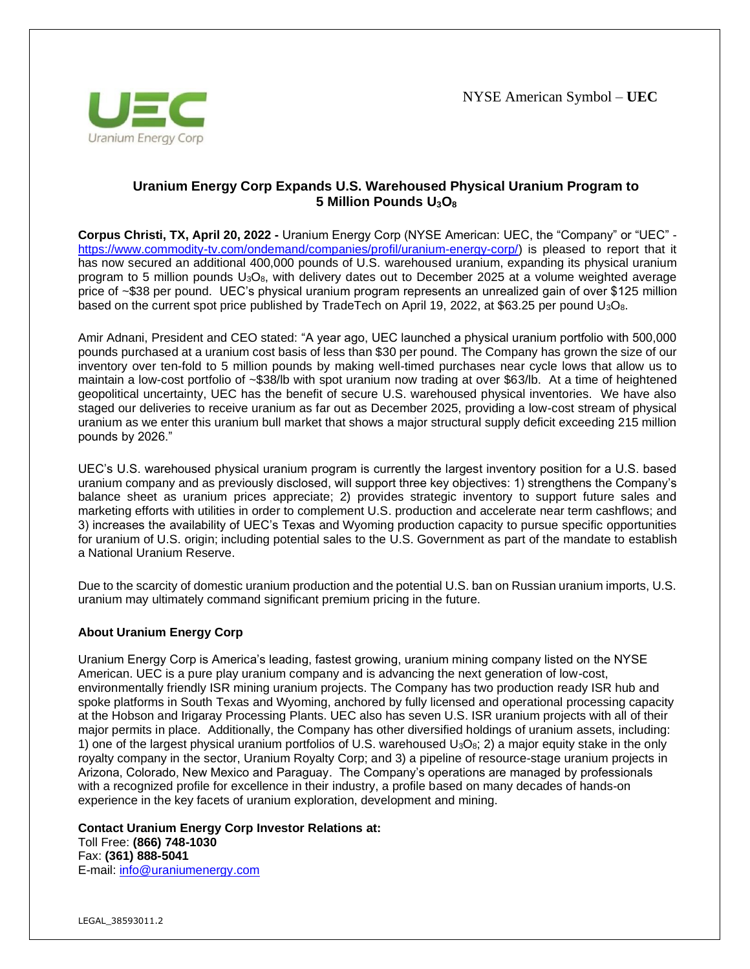

## **Uranium Energy Corp Expands U.S. Warehoused Physical Uranium Program to 5 Million Pounds U3O<sup>8</sup>**

**Corpus Christi, TX, April 20, 2022 -** Uranium Energy Corp (NYSE American: UEC, the "Company" or "UEC" [https://www.commodity-tv.com/ondemand/companies/profil/uranium-energy-corp/\)](https://www.commodity-tv.com/ondemand/companies/profil/uranium-energy-corp/) is pleased to report that it has now secured an additional 400,000 pounds of U.S. warehoused uranium, expanding its physical uranium program to 5 million pounds U3O8, with delivery dates out to December 2025 at a volume weighted average price of ~\$38 per pound. UEC's physical uranium program represents an unrealized gain of over \$125 million based on the current spot price published by TradeTech on April 19, 2022, at \$63.25 per pound  $U_3O_8$ .

Amir Adnani, President and CEO stated: "A year ago, UEC launched a physical uranium portfolio with 500,000 pounds purchased at a uranium cost basis of less than \$30 per pound. The Company has grown the size of our inventory over ten-fold to 5 million pounds by making well-timed purchases near cycle lows that allow us to maintain a low-cost portfolio of ~\$38/lb with spot uranium now trading at over \$63/lb. At a time of heightened geopolitical uncertainty, UEC has the benefit of secure U.S. warehoused physical inventories. We have also staged our deliveries to receive uranium as far out as December 2025, providing a low-cost stream of physical uranium as we enter this uranium bull market that shows a major structural supply deficit exceeding 215 million pounds by 2026."

UEC's U.S. warehoused physical uranium program is currently the largest inventory position for a U.S. based uranium company and as previously disclosed, will support three key objectives: 1) strengthens the Company's balance sheet as uranium prices appreciate; 2) provides strategic inventory to support future sales and marketing efforts with utilities in order to complement U.S. production and accelerate near term cashflows; and 3) increases the availability of UEC's Texas and Wyoming production capacity to pursue specific opportunities for uranium of U.S. origin; including potential sales to the U.S. Government as part of the mandate to establish a National Uranium Reserve.

Due to the scarcity of domestic uranium production and the potential U.S. ban on Russian uranium imports, U.S. uranium may ultimately command significant premium pricing in the future.

## **About Uranium Energy Corp**

Uranium Energy Corp is America's leading, fastest growing, uranium mining company listed on the NYSE American. UEC is a pure play uranium company and is advancing the next generation of low-cost, environmentally friendly ISR mining uranium projects. The Company has two production ready ISR hub and spoke platforms in South Texas and Wyoming, anchored by fully licensed and operational processing capacity at the Hobson and Irigaray Processing Plants. UEC also has seven U.S. ISR uranium projects with all of their major permits in place. Additionally, the Company has other diversified holdings of uranium assets, including: 1) one of the largest physical uranium portfolios of U.S. warehoused  $U_3O_8$ ; 2) a major equity stake in the only royalty company in the sector, Uranium Royalty Corp; and 3) a pipeline of resource-stage uranium projects in Arizona, Colorado, New Mexico and Paraguay. The Company's operations are managed by professionals with a recognized profile for excellence in their industry, a profile based on many decades of hands-on experience in the key facets of uranium exploration, development and mining.

**Contact Uranium Energy Corp Investor Relations at:** 

Toll Free: **(866) 748-1030** Fax: **(361) 888-5041** E-mail: [info@uraniumenergy.com](mailto:info@uraniumenergy.com)